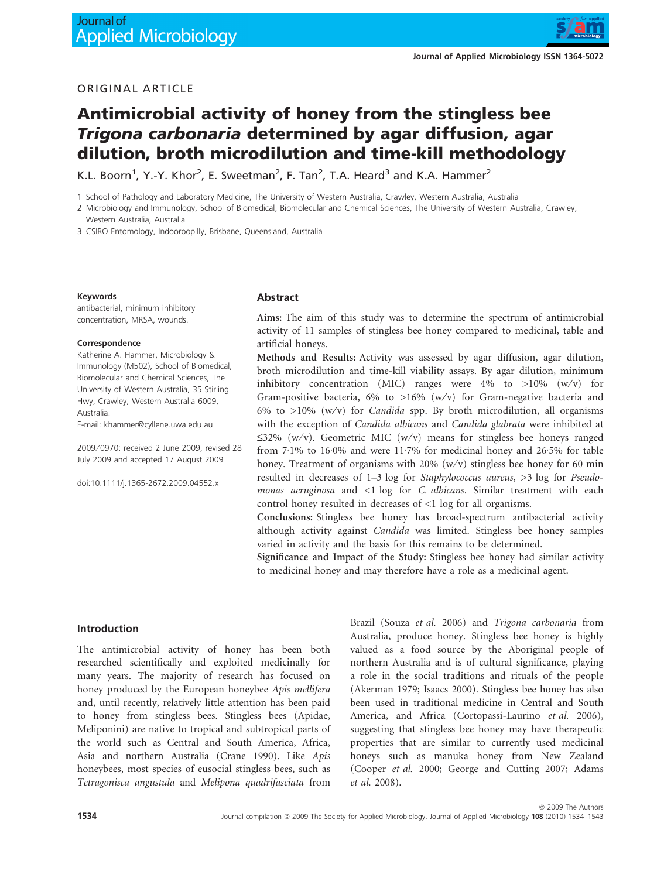

# Antimicrobial activity of honey from the stingless bee Trigona carbonaria determined by agar diffusion, agar dilution, broth microdilution and time-kill methodology

K.L. Boorn<sup>1</sup>, Y.-Y. Khor<sup>2</sup>, E. Sweetman<sup>2</sup>, F. Tan<sup>2</sup>, T.A. Heard<sup>3</sup> and K.A. Hammer<sup>2</sup>

1 School of Pathology and Laboratory Medicine, The University of Western Australia, Crawley, Western Australia, Australia

2 Microbiology and Immunology, School of Biomedical, Biomolecular and Chemical Sciences, The University of Western Australia, Crawley, Western Australia, Australia

3 CSIRO Entomology, Indooroopilly, Brisbane, Queensland, Australia

#### Keywords

antibacterial, minimum inhibitory concentration, MRSA, wounds.

#### **Correspondence**

Katherine A. Hammer, Microbiology & Immunology (M502), School of Biomedical, Biomolecular and Chemical Sciences, The University of Western Australia, 35 Stirling Hwy, Crawley, Western Australia 6009, Australia.

E-mail: khammer@cyllene.uwa.edu.au

2009 ⁄ 0970: received 2 June 2009, revised 28 July 2009 and accepted 17 August 2009

doi:10.1111/j.1365-2672.2009.04552.x

#### Abstract

Aims: The aim of this study was to determine the spectrum of antimicrobial activity of 11 samples of stingless bee honey compared to medicinal, table and artificial honeys.

Methods and Results: Activity was assessed by agar diffusion, agar dilution, broth microdilution and time-kill viability assays. By agar dilution, minimum inhibitory concentration (MIC) ranges were  $4\%$  to  $>10\%$  (w/v) for Gram-positive bacteria, 6% to >16% (w/v) for Gram-negative bacteria and 6% to  $>10\%$  (w/v) for *Candida* spp. By broth microdilution, all organisms with the exception of Candida albicans and Candida glabrata were inhibited at  $\leq$ 32% (w/v). Geometric MIC (w/v) means for stingless bee honeys ranged from  $7.1\%$  to  $16.0\%$  and were  $11.7\%$  for medicinal honey and  $26.5\%$  for table honey. Treatment of organisms with  $20\%$  (w/v) stingless bee honey for 60 min resulted in decreases of 1–3 log for Staphylococcus aureus, >3 log for Pseudomonas aeruginosa and <1 log for C. albicans. Similar treatment with each control honey resulted in decreases of <1 log for all organisms.

Conclusions: Stingless bee honey has broad-spectrum antibacterial activity although activity against Candida was limited. Stingless bee honey samples varied in activity and the basis for this remains to be determined.

Significance and Impact of the Study: Stingless bee honey had similar activity to medicinal honey and may therefore have a role as a medicinal agent.

#### Introduction

The antimicrobial activity of honey has been both researched scientifically and exploited medicinally for many years. The majority of research has focused on honey produced by the European honeybee Apis mellifera and, until recently, relatively little attention has been paid to honey from stingless bees. Stingless bees (Apidae, Meliponini) are native to tropical and subtropical parts of the world such as Central and South America, Africa, Asia and northern Australia (Crane 1990). Like Apis honeybees, most species of eusocial stingless bees, such as Tetragonisca angustula and Melipona quadrifasciata from Brazil (Souza et al. 2006) and Trigona carbonaria from Australia, produce honey. Stingless bee honey is highly valued as a food source by the Aboriginal people of northern Australia and is of cultural significance, playing a role in the social traditions and rituals of the people (Akerman 1979; Isaacs 2000). Stingless bee honey has also been used in traditional medicine in Central and South America, and Africa (Cortopassi-Laurino et al. 2006), suggesting that stingless bee honey may have therapeutic properties that are similar to currently used medicinal honeys such as manuka honey from New Zealand (Cooper et al. 2000; George and Cutting 2007; Adams et al. 2008).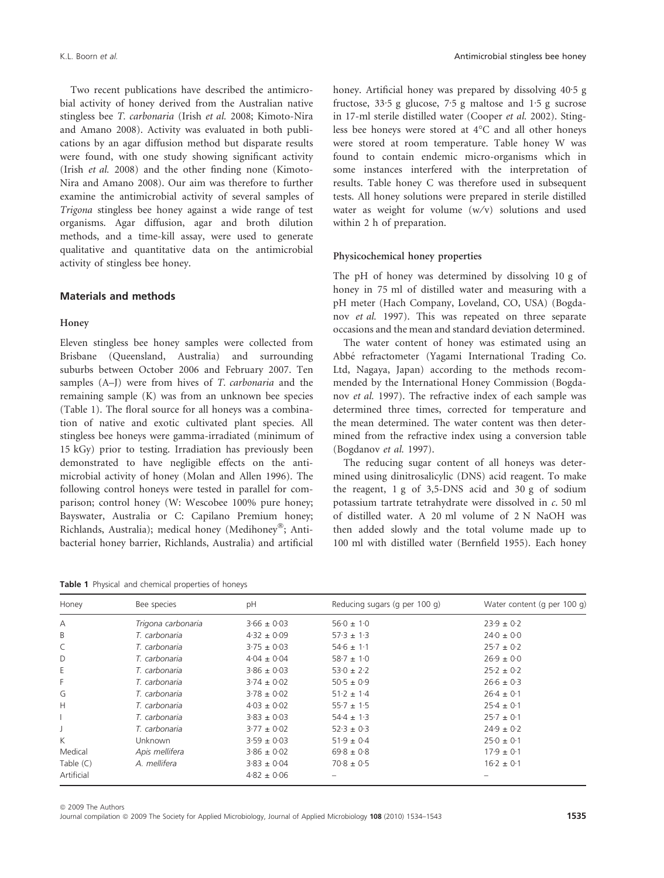Two recent publications have described the antimicrobial activity of honey derived from the Australian native stingless bee T. carbonaria (Irish et al. 2008; Kimoto-Nira and Amano 2008). Activity was evaluated in both publications by an agar diffusion method but disparate results were found, with one study showing significant activity (Irish et al. 2008) and the other finding none (Kimoto-Nira and Amano 2008). Our aim was therefore to further examine the antimicrobial activity of several samples of Trigona stingless bee honey against a wide range of test organisms. Agar diffusion, agar and broth dilution methods, and a time-kill assay, were used to generate qualitative and quantitative data on the antimicrobial activity of stingless bee honey.

# Materials and methods

## Honey

Eleven stingless bee honey samples were collected from Brisbane (Queensland, Australia) and surrounding suburbs between October 2006 and February 2007. Ten samples (A–J) were from hives of *T. carbonaria* and the remaining sample (K) was from an unknown bee species (Table 1). The floral source for all honeys was a combination of native and exotic cultivated plant species. All stingless bee honeys were gamma-irradiated (minimum of 15 kGy) prior to testing. Irradiation has previously been demonstrated to have negligible effects on the antimicrobial activity of honey (Molan and Allen 1996). The following control honeys were tested in parallel for comparison; control honey (W: Wescobee 100% pure honey; Bayswater, Australia or C: Capilano Premium honey; Richlands, Australia); medical honey (Medihoney®; Antibacterial honey barrier, Richlands, Australia) and artificial

|  |  |  |  |  |  | <b>Table 1</b> Physical and chemical properties of honeys |  |  |
|--|--|--|--|--|--|-----------------------------------------------------------|--|--|
|--|--|--|--|--|--|-----------------------------------------------------------|--|--|

honey. Artificial honey was prepared by dissolving 40.5 g fructose,  $33.5$  g glucose,  $7.5$  g maltose and  $1.5$  g sucrose in 17-ml sterile distilled water (Cooper et al. 2002). Stingless bee honeys were stored at 4°C and all other honeys were stored at room temperature. Table honey W was found to contain endemic micro-organisms which in some instances interfered with the interpretation of results. Table honey C was therefore used in subsequent tests. All honey solutions were prepared in sterile distilled water as weight for volume  $(w/v)$  solutions and used within 2 h of preparation.

#### Physicochemical honey properties

The pH of honey was determined by dissolving 10 g of honey in 75 ml of distilled water and measuring with a pH meter (Hach Company, Loveland, CO, USA) (Bogdanov et al. 1997). This was repeated on three separate occasions and the mean and standard deviation determined.

The water content of honey was estimated using an Abbe´ refractometer (Yagami International Trading Co. Ltd, Nagaya, Japan) according to the methods recommended by the International Honey Commission (Bogdanov et al. 1997). The refractive index of each sample was determined three times, corrected for temperature and the mean determined. The water content was then determined from the refractive index using a conversion table (Bogdanov et al. 1997).

The reducing sugar content of all honeys was determined using dinitrosalicylic (DNS) acid reagent. To make the reagent, 1 g of 3,5-DNS acid and 30 g of sodium potassium tartrate tetrahydrate were dissolved in c. 50 ml of distilled water. A 20 ml volume of 2 N NaOH was then added slowly and the total volume made up to 100 ml with distilled water (Bernfield 1955). Each honey

| Honey       | Bee species        | pH              | Reducing sugars (g per 100 g) | Water content (q per 100 q) |
|-------------|--------------------|-----------------|-------------------------------|-----------------------------|
| А           | Trigona carbonaria | $3.66 \pm 0.03$ | $56.0 \pm 1.0$                | $23.9 \pm 0.2$              |
| B           | T. carbonaria      | $4.32 \pm 0.09$ | $57.3 \pm 1.3$                | $24.0 \pm 0.0$              |
| C           | T. carbonaria      | $3.75 \pm 0.03$ | $54.6 \pm 1.1$                | $25.7 \pm 0.2$              |
| D           | T. carbonaria      | $4.04 \pm 0.04$ | $58.7 \pm 1.0$                | $26.9 \pm 0.0$              |
| Ε           | T. carbonaria      | $3.86 \pm 0.03$ | $53.0 \pm 2.2$                | $25.2 \pm 0.2$              |
| F           | T. carbonaria      | $3.74 \pm 0.02$ | $50.5 \pm 0.9$                | $26.6 \pm 0.3$              |
| G           | T. carbonaria      | $3.78 \pm 0.02$ | $51.2 \pm 1.4$                | $26.4 \pm 0.1$              |
| Н           | T. carbonaria      | $4.03 \pm 0.02$ | $55.7 \pm 1.5$                | $25.4 \pm 0.1$              |
|             | T. carbonaria      | $3.83 \pm 0.03$ | $54.4 \pm 1.3$                | $25.7 \pm 0.1$              |
|             | T. carbonaria      | $3.77 \pm 0.02$ | $52.3 \pm 0.3$                | $24.9 \pm 0.2$              |
| K           | <b>Unknown</b>     | $3.59 \pm 0.03$ | $51.9 \pm 0.4$                | $25.0 \pm 0.1$              |
| Medical     | Apis mellifera     | $3.86 \pm 0.02$ | $69.8 \pm 0.8$                | $17.9 \pm 0.1$              |
| Table $(C)$ | A. mellifera       | $3.83 \pm 0.04$ | $70.8 \pm 0.5$                | $16.2 \pm 0.1$              |
| Artificial  |                    | $4.82 \pm 0.06$ |                               |                             |
|             |                    |                 |                               |                             |

ª 2009 The Authors Journal compilation @ 2009 The Society for Applied Microbiology, Journal of Applied Microbiology 108 (2010) 1534–1543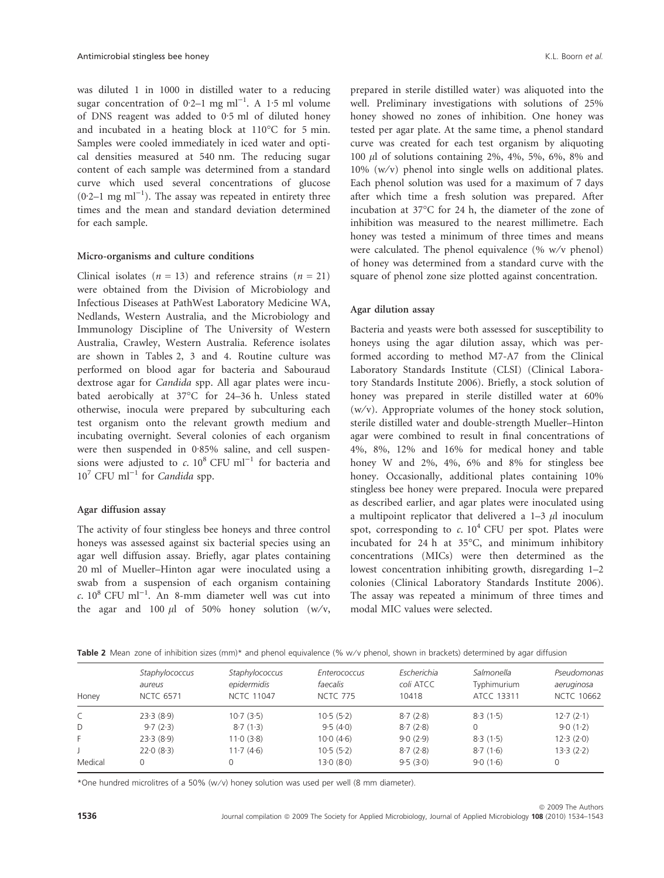was diluted 1 in 1000 in distilled water to a reducing sugar concentration of 0.2–1 mg ml<sup>-1</sup>. A 1.5 ml volume of DNS reagent was added to 0.5 ml of diluted honey and incubated in a heating block at  $110^{\circ}$ C for 5 min. Samples were cooled immediately in iced water and optical densities measured at 540 nm. The reducing sugar content of each sample was determined from a standard curve which used several concentrations of glucose (0.2-1 mg ml<sup>-1</sup>). The assay was repeated in entirety three times and the mean and standard deviation determined for each sample.

#### Micro-organisms and culture conditions

Clinical isolates ( $n = 13$ ) and reference strains ( $n = 21$ ) were obtained from the Division of Microbiology and Infectious Diseases at PathWest Laboratory Medicine WA, Nedlands, Western Australia, and the Microbiology and Immunology Discipline of The University of Western Australia, Crawley, Western Australia. Reference isolates are shown in Tables 2, 3 and 4. Routine culture was performed on blood agar for bacteria and Sabouraud dextrose agar for Candida spp. All agar plates were incubated aerobically at 37°C for 24-36 h. Unless stated otherwise, inocula were prepared by subculturing each test organism onto the relevant growth medium and incubating overnight. Several colonies of each organism were then suspended in  $0.85\%$  saline, and cell suspensions were adjusted to  $c$ .  $10^8$  CFU ml<sup>-1</sup> for bacteria and  $10^7$  CFU ml<sup>-1</sup> for *Candida* spp.

## Agar diffusion assay

The activity of four stingless bee honeys and three control honeys was assessed against six bacterial species using an agar well diffusion assay. Briefly, agar plates containing 20 ml of Mueller–Hinton agar were inoculated using a swab from a suspension of each organism containing  $c. 10^8$  CFU ml<sup>-1</sup>. An 8-mm diameter well was cut into the agar and 100  $\mu$ l of 50% honey solution (w/v, prepared in sterile distilled water) was aliquoted into the well. Preliminary investigations with solutions of 25% honey showed no zones of inhibition. One honey was tested per agar plate. At the same time, a phenol standard curve was created for each test organism by aliquoting 100  $\mu$ l of solutions containing 2%, 4%, 5%, 6%, 8% and  $10\%$  (w/v) phenol into single wells on additional plates. Each phenol solution was used for a maximum of 7 days after which time a fresh solution was prepared. After incubation at 37°C for 24 h, the diameter of the zone of inhibition was measured to the nearest millimetre. Each honey was tested a minimum of three times and means were calculated. The phenol equivalence  $(\% w/v)$  phenol) of honey was determined from a standard curve with the square of phenol zone size plotted against concentration.

#### Agar dilution assay

Bacteria and yeasts were both assessed for susceptibility to honeys using the agar dilution assay, which was performed according to method M7-A7 from the Clinical Laboratory Standards Institute (CLSI) (Clinical Laboratory Standards Institute 2006). Briefly, a stock solution of honey was prepared in sterile distilled water at 60%  $(w/v)$ . Appropriate volumes of the honey stock solution, sterile distilled water and double-strength Mueller–Hinton agar were combined to result in final concentrations of 4%, 8%, 12% and 16% for medical honey and table honey W and 2%, 4%, 6% and 8% for stingless bee honey. Occasionally, additional plates containing 10% stingless bee honey were prepared. Inocula were prepared as described earlier, and agar plates were inoculated using a multipoint replicator that delivered a  $1-3$   $\mu$ l inoculum spot, corresponding to c.  $10^4$  CFU per spot. Plates were incubated for 24 h at  $35^{\circ}$ C, and minimum inhibitory concentrations (MICs) were then determined as the lowest concentration inhibiting growth, disregarding 1–2 colonies (Clinical Laboratory Standards Institute 2006). The assay was repeated a minimum of three times and modal MIC values were selected.

| Honey   | Staphylococcus<br>aureus<br><b>NCTC 6571</b> | Staphylococcus<br>epidermidis<br><b>NCTC 11047</b> | Enterococcus<br>faecalis<br><b>NCTC 775</b> | Escherichia<br>coli ATCC<br>10418 | Salmonella<br>Typhimurium<br>ATCC 13311 | Pseudomonas<br>aeruginosa<br><b>NCTC 10662</b> |
|---------|----------------------------------------------|----------------------------------------------------|---------------------------------------------|-----------------------------------|-----------------------------------------|------------------------------------------------|
| C       | 23.3(8.9)                                    | $10-7(3-5)$                                        | 10.5(5.2)                                   | 8.7(2.8)                          | 8.3(1.5)                                | 12.7(2.1)                                      |
| D       | 9.7(2.3)                                     | 8.7(1.3)                                           | 9.5(4.0)                                    | 8.7(2.8)                          | 0                                       | 9.0(1.2)                                       |
| F       | 23.3(8.9)                                    | 11.0(3.8)                                          | 10.0(4.6)                                   | 9.0(2.9)                          | 8.3(1.5)                                | 12.3(2.0)                                      |
|         | 22.0(8.3)                                    | 11.7(4.6)                                          | 10.5(5.2)                                   | 8.7(2.8)                          | 8.7(1.6)                                | 13.3(2.2)                                      |
| Medical |                                              |                                                    | 13.0(8.0)                                   | 9.5(3.0)                          | 9.0(1.6)                                | 0                                              |

\*One hundred microlitres of a 50% (w ⁄ v) honey solution was used per well (8 mm diameter).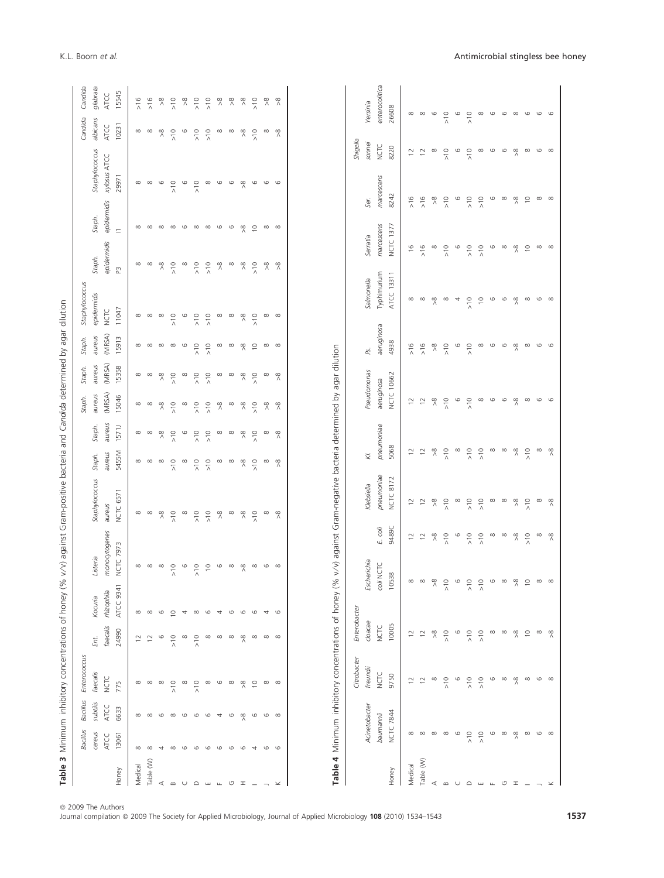|                |             |               | Table 3 Minimum inhibitory concentrations of honey (% |               |                     | v/v) against Gram-positive bacteria and Candida determined by agar dilution |                     |               |                     |                     |                     |                     |                |                             |             |                |               |                |
|----------------|-------------|---------------|-------------------------------------------------------|---------------|---------------------|-----------------------------------------------------------------------------|---------------------|---------------|---------------------|---------------------|---------------------|---------------------|----------------|-----------------------------|-------------|----------------|---------------|----------------|
|                | Bacillus    | Bacillus      | Enterococcus                                          |               |                     |                                                                             |                     |               |                     | Staph.              | Staph.              | Staph.              | Staphylococcus |                             |             |                | Candida       | Candida        |
|                | cereus      | subtilis      | faecalis                                              | Ent.          | Kocuria             | Listeria                                                                    | Staphylococcus      | Staph.        | Staph.              | aureus              | aureus              | aureus              | epidermidis    | Staph.                      | Staph.      | Staphylococcus | albicans      | glabrata       |
|                | <b>ATCC</b> | ATCC          | <b>NCTC</b>                                           |               | faecalis rhizophila | monocytogenes                                                               | aureus              | aureus        | aureus              | (MRSA)              | (MRSA)              | (MRSA)              | <b>NCTC</b>    | epidermidis                 | epidermidis | xylosus ATCC   | <b>ATCC</b>   | <b>ATCC</b>    |
| Honey          | 13061       | 6633          | 775                                                   | 24990         | ATCC 9341           | <b>NCTC 7973</b>                                                            | NCTC 6571           | 5455M         | 1571J               | 15046               | 15358               | 15913               | 11047          | m                           | $\equiv$    | 29971          | 10231         | 15545          |
| Medical        | $\infty$    | $\infty$      | $\infty$                                              |               | $\infty$            | $\infty$                                                                    | $\infty$            | $\infty$      | $\infty$            | $\infty$            | $\infty$            | $\infty$            | $\infty$       | $\infty$                    | $\infty$    | $\infty$       | $\infty$      | $\frac{8}{16}$ |
| Table (W)      | $\infty$    | $\infty$      |                                                       |               | $\infty$            | $\infty$                                                                    | $\infty$            | $\infty$      | $\infty$            | $\infty$            | $\infty$            | $\infty$            | $\infty$       | $\infty$                    | $\infty$    | $\infty$       | $\infty$      | $\frac{6}{16}$ |
| ⋖              |             | G             | ∞                                                     | G             | G                   | ∞                                                                           | $\frac{8}{2}$       | $\infty$      | ஜ                   | $\frac{8}{2}$       | $\frac{8}{2}$       | $\infty$            | $\infty$       | $\frac{8}{2}$               | $\infty$    | ဖ              | $\frac{8}{2}$ | ஜ              |
| $\infty$       |             | $\infty$      | $\frac{0}{\lambda}$                                   | $\frac{1}{2}$ | $\circ$             | $\frac{1}{2}$                                                               | $\frac{1}{2}$       | $\frac{1}{2}$ | $\frac{1}{2}$       | $\frac{1}{2}$       | $\frac{1}{2}$       | $\infty$            | $\frac{1}{2}$  | $\frac{1}{2}$               | $\infty$    | $\frac{1}{2}$  | $\frac{1}{2}$ | $\frac{1}{2}$  |
|                |             | G             | $\infty$                                              | $\infty$      |                     | $\circ$                                                                     | $\infty$            | $\infty$      | $\circ$             | $\infty$            | $\infty$            | G                   | $\circ$        | $\infty$                    | G           | G              | $\circ$       | $\frac{8}{2}$  |
| $\triangle$    |             | G             | $\frac{1}{2}$                                         | $\frac{1}{2}$ | $\infty$            | $\frac{1}{2}$                                                               | $\frac{1}{2}$       | $\frac{1}{2}$ | $\frac{1}{2}$       | $\frac{1}{2}$       | $\frac{1}{2}$       | $\frac{1}{2}$       | $\frac{1}{2}$  | $\frac{1}{2}$               | $\infty$    | $\frac{1}{2}$  | $\frac{1}{2}$ | $\frac{1}{2}$  |
| ш              |             | G             |                                                       | $\infty$      | G                   | ₽                                                                           | $\frac{1}{2}$       | $\frac{1}{2}$ | $\frac{1}{2}$       | $\frac{1}{2}$       | $\frac{0}{10}$      | $\frac{1}{2}$       | $\frac{1}{2}$  | $\frac{1}{2}$               | $\infty$    | $\infty$       | $\frac{1}{2}$ | $\frac{1}{2}$  |
|                |             | 4             | G                                                     | $\infty$      |                     | G                                                                           | $\frac{8}{2}$       | $\infty$      | ∞                   | $\frac{8}{2}$       | $\infty$            | $\infty$            | $\infty$       | $\frac{8}{2}$               | 6           | G              | $\infty$      | $\frac{8}{2}$  |
| U              | ١Ċ          | G             |                                                       | $\infty$      | G                   | $\infty$                                                                    | $\infty$            | $\infty$      | $\infty$            | $\infty$            | $\infty$            | $\infty$            | $\infty$       | $\infty$                    | 6           | G              | $\infty$      | $\frac{8}{2}$  |
| I              | C           | $\frac{8}{1}$ | $\frac{8}{1}$                                         | $\frac{8}{1}$ | G                   | ጻ                                                                           | $\frac{8}{\lambda}$ | ጻ             | $\frac{8}{\lambda}$ | $\frac{8}{\lambda}$ | $\frac{8}{\lambda}$ | $\frac{8}{\lambda}$ | $\frac{8}{2}$  | $\stackrel{\infty}{\wedge}$ | ጵ           | ጻ              | $\frac{8}{2}$ | $\frac{8}{2}$  |
|                |             | 6             | $\subseteq$                                           | $\infty$      | C                   | $\infty$                                                                    | $\frac{1}{2}$       | $\frac{1}{2}$ | $\frac{0}{2}$       | $\frac{1}{2}$       | $\frac{1}{2}$       | $\supseteq$         | $\frac{1}{2}$  | $\frac{0}{\lambda}$         | $\supseteq$ | G              | $\frac{0}{2}$ | $\frac{1}{2}$  |
|                | G           | G             | $\infty$                                              | $\infty$      |                     | 6                                                                           | $\infty$            | $\infty$      | $\infty$            | $\frac{8}{\lambda}$ | $\infty$            | $\infty$            | $\infty$       | $\stackrel{\infty}{\wedge}$ | $\infty$    | 6              | $\infty$      | $\frac{8}{2}$  |
| $\!\times\!\!$ | G           | $\infty$      | $\infty$                                              | $\infty$      | C                   | $\infty$                                                                    | $\frac{8}{2}$       | $\frac{8}{2}$ | $\frac{8}{2}$       | $\frac{8}{2}$       | $\frac{8}{2}$       | $\infty$            | $\infty$       | $\frac{8}{2}$               | $\infty$    | $\circ$        | $\frac{8}{2}$ | ஜ              |
|                |             |               |                                                       |               |                     |                                                                             |                     |               |                     |                     |                     |                     |                |                             |             |                |               |                |

| å<br>Ē                                                           |
|------------------------------------------------------------------|
| Ē                                                                |
| ñ<br>j<br>١<br>.<br>.<br>.                                       |
| j<br>ì                                                           |
| Ò<br>ׇ֚֬<br>1<br>r<br>Caracter<br>C<br>1                         |
| l<br>ţ                                                           |
| .<br>:<br>I<br>-coan-ment cham-nep-<br>J                         |
| I                                                                |
| J                                                                |
|                                                                  |
| è                                                                |
| ł<br>j<br>ł                                                      |
| $\frac{1}{5}$                                                    |
| ath<br>-------<br>ī<br>)<br>J<br>j<br>ׇ֦֚֘֝<br>5<br>ı<br>j       |
| ţ<br>Ï<br>ì<br>indini                                            |
| $\sum$<br>֖֖֖֖֧ׅ֧ׅ֧֪֪ׅ֧֚֚֚֚֚֚֚֚֚֚֚֚֚֚֚֚֚֚֚֚֚֚֚֚֚֚֚֬֝֝֝֓֞֡֓֞<br>i |
| Table 4                                                          |

|           |               | Citrobacter   | Enterobacter   |                      |                                        |                     |                                        |                          |                          |               |                     |                | Shigella       |                |
|-----------|---------------|---------------|----------------|----------------------|----------------------------------------|---------------------|----------------------------------------|--------------------------|--------------------------|---------------|---------------------|----------------|----------------|----------------|
|           | Acinetobacter | freundiï      | cloacae        | Escherichia          |                                        | Klebsiella          | N.                                     | Pseudomonas              | Ps.                      | Salmonella    | Serratia            | Ser.           | sonnei         | Yersinia       |
|           | baumannii     | <b>NCTC</b>   | NCTC           | CON NCTC             | E. coli                                | pneumoniae          | pneumoniae                             | aeruginosa               | aeruginosa               | Typhimurium   | marcescens          | marcescens     | <b>NCTC</b>    | enterocolitica |
| Honey     | NCTC 7844     | 9750          | 10005          | 0538                 | 9489C                                  | <b>NCTC 8172</b>    | 5068                                   | NCTC 10662               | 4938                     | ATCC 13311    | <b>NCTC 1377</b>    | 8242           | 8220           | 26608          |
| Medical   | $\infty$      |               | $\overline{2}$ | $\infty$             | $\overline{c}$                         | $\overline{12}$     | $\approx$                              | $\overline{c}$           | $\frac{6}{16}$           | $\infty$      | $\frac{6}{2}$       | $\frac{6}{16}$ | $\overline{c}$ | $\infty$       |
| Table (W) |               |               |                | $\infty$             | $\overline{c}$                         | $\overline{c}$      | $\approx$                              | $\overline{c}$           | $\frac{6}{16}$           | $\infty$      | $\frac{6}{16}$      | $>16$          | $\approx$      | $\infty$       |
| ⋖         |               | $\infty$      |                | ஜ                    | $\stackrel{\circ}{\scriptstyle\wedge}$ | $\frac{8}{\lambda}$ | $\stackrel{\circ}{\scriptstyle\wedge}$ | $\frac{\infty}{\Lambda}$ | $\frac{\infty}{\Lambda}$ | $\frac{8}{2}$ | $\infty$            | $\frac{8}{2}$  | $\infty$       | $\circ$        |
|           |               | $\frac{1}{2}$ |                | $\circ$<br>λ         | $\frac{1}{2}$                          | $\frac{1}{2}$       | $\frac{1}{2}$                          | $\frac{1}{2}$            | $\frac{1}{2}$            | $\infty$      | $\frac{1}{2}$       | $\frac{1}{2}$  | $\frac{1}{2}$  | $\frac{1}{2}$  |
|           |               | $\circ$       |                |                      | $\circ$                                | $\infty$            | $\infty$                               | $\circ$                  | 0                        | 4             | $\circ$             | 6              | $\circ$        | $\circ$        |
|           | $\frac{1}{2}$ | $\frac{1}{2}$ | $\frac{1}{2}$  | $\circ$<br>λ         | $\frac{1}{2}$                          | $\frac{1}{2}$       | $\frac{1}{2}$                          | $\frac{1}{2}$            | $\frac{1}{2}$            | $\frac{1}{2}$ | $\frac{1}{2}$       | $\frac{1}{2}$  | $\frac{1}{2}$  | $\frac{1}{2}$  |
|           | $\frac{1}{2}$ | $\frac{1}{2}$ | $\frac{1}{2}$  | $\circ$<br>$\lambda$ | $\frac{1}{2}$                          | $\frac{1}{2}$       | $\frac{1}{2}$                          | $\infty$                 | $\infty$                 | $\approx$     | $\frac{1}{2}$       | $\frac{1}{2}$  | $\infty$       | $\infty$       |
|           | 6             | $\circ$       |                |                      | $\infty$                               | $\infty$            | $\infty$                               | G                        | G                        | G             | G                   | G              | $\circ$        | 6              |
| U         | $\infty$      | $\infty$      | $\infty$       |                      | $\infty$                               | $\infty$            | $\infty$                               | G                        | G                        | G             | $\infty$            | $\infty$       | $\circ$        | 6              |
| I         | $\frac{8}{1}$ | ஜ             | ஜ              | တွ                   | $\stackrel{\circ}{\scriptstyle\wedge}$ | $\frac{8}{\lambda}$ | $\stackrel{\circ}{\scriptstyle\wedge}$ | %                        | %                        | %             | $\frac{8}{\lambda}$ | %              | ஜ              | $\infty$       |
|           | $\infty$      | $\infty$      |                | $\circ$              | $\frac{1}{2}$                          | $\frac{1}{2}$       | $\frac{1}{2}$                          | $\infty$                 | $\infty$                 | $\infty$      | $\overline{C}$      | $\overline{0}$ | $\infty$       | G              |
|           | G             | G             | $\infty$       | $\infty$             | $\infty$                               | $\infty$            | $\infty$                               | $\circ$                  | G                        | 6             | $\infty$            | $\infty$       | $\circ$        | G              |
|           | $\infty$      | $\infty$      | ጻ              | $\infty$             | $\frac{8}{\lambda}$                    | $\frac{8}{\lambda}$ | $\frac{8}{\lambda}$                    | G                        | G                        | $\infty$      | $\infty$            | $\infty$       | $\infty$       | G              |
|           |               |               |                |                      |                                        |                     |                                        |                          |                          |               |                     |                |                |                |

ª 2009 The Authors

Journal compilation  $@$  2009 The Society for Applied Microbiology, Journal of Applied Microbiology 108 (2010) 1534-1543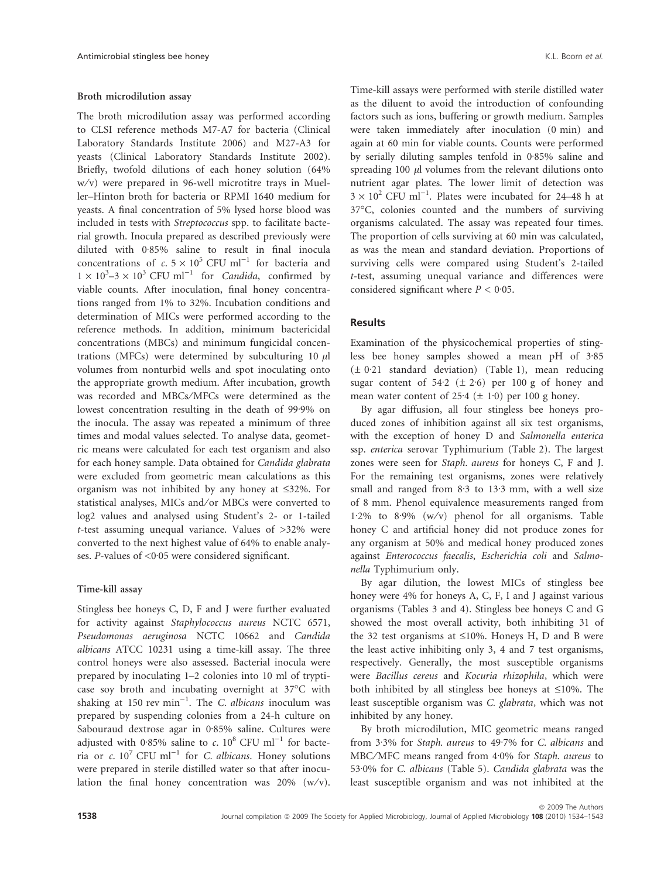## Broth microdilution assay

The broth microdilution assay was performed according to CLSI reference methods M7-A7 for bacteria (Clinical Laboratory Standards Institute 2006) and M27-A3 for yeasts (Clinical Laboratory Standards Institute 2002). Briefly, twofold dilutions of each honey solution (64% w/v) were prepared in 96-well microtitre trays in Mueller–Hinton broth for bacteria or RPMI 1640 medium for yeasts. A final concentration of 5% lysed horse blood was included in tests with Streptococcus spp. to facilitate bacterial growth. Inocula prepared as described previously were diluted with 0.85% saline to result in final inocula concentrations of c.  $5 \times 10^5$  CFU ml<sup>-1</sup> for bacteria and  $1 \times 10^3 - 3 \times 10^3$  CFU ml<sup>-1</sup> for *Candida*, confirmed by viable counts. After inoculation, final honey concentrations ranged from 1% to 32%. Incubation conditions and determination of MICs were performed according to the reference methods. In addition, minimum bactericidal concentrations (MBCs) and minimum fungicidal concentrations (MFCs) were determined by subculturing 10  $\mu$ l volumes from nonturbid wells and spot inoculating onto the appropriate growth medium. After incubation, growth was recorded and MBCs⁄ MFCs were determined as the lowest concentration resulting in the death of 99.9% on the inocula. The assay was repeated a minimum of three times and modal values selected. To analyse data, geometric means were calculated for each test organism and also for each honey sample. Data obtained for Candida glabrata were excluded from geometric mean calculations as this organism was not inhibited by any honey at £32%. For statistical analyses, MICs and/or MBCs were converted to log2 values and analysed using Student's 2- or 1-tailed t-test assuming unequal variance. Values of  $>32\%$  were converted to the next highest value of 64% to enable analyses. P-values of  $\leq 0.05$  were considered significant.

#### Time-kill assay

Stingless bee honeys C, D, F and J were further evaluated for activity against Staphylococcus aureus NCTC 6571, Pseudomonas aeruginosa NCTC 10662 and Candida albicans ATCC 10231 using a time-kill assay. The three control honeys were also assessed. Bacterial inocula were prepared by inoculating 1–2 colonies into 10 ml of trypticase soy broth and incubating overnight at 37°C with shaking at 150 rev  $min^{-1}$ . The *C. albicans* inoculum was prepared by suspending colonies from a 24-h culture on Sabouraud dextrose agar in 0.85% saline. Cultures were adjusted with 0.85% saline to c.  $10^8$  CFU ml<sup>-1</sup> for bacteria or c.  $10^7$  CFU ml<sup>-1</sup> for *C. albicans*. Honey solutions were prepared in sterile distilled water so that after inoculation the final honey concentration was  $20\%$  (w/v). Time-kill assays were performed with sterile distilled water as the diluent to avoid the introduction of confounding factors such as ions, buffering or growth medium. Samples were taken immediately after inoculation (0 min) and again at 60 min for viable counts. Counts were performed by serially diluting samples tenfold in 0.85% saline and spreading 100  $\mu$ l volumes from the relevant dilutions onto nutrient agar plates. The lower limit of detection was  $3 \times 10^2$  CFU ml<sup>-1</sup>. Plates were incubated for 24–48 h at 37°C, colonies counted and the numbers of surviving organisms calculated. The assay was repeated four times. The proportion of cells surviving at 60 min was calculated, as was the mean and standard deviation. Proportions of surviving cells were compared using Student's 2-tailed t-test, assuming unequal variance and differences were considered significant where  $P < 0.05$ .

# **Results**

Examination of the physicochemical properties of stingless bee honey samples showed a mean pH of  $3.85$  $(\pm 0.21$  standard deviation) (Table 1), mean reducing sugar content of 54.2 ( $\pm$  2.6) per 100 g of honey and mean water content of 25.4 ( $\pm$  1.0) per 100 g honey.

By agar diffusion, all four stingless bee honeys produced zones of inhibition against all six test organisms, with the exception of honey D and Salmonella enterica ssp. enterica serovar Typhimurium (Table 2). The largest zones were seen for Staph. aureus for honeys C, F and J. For the remaining test organisms, zones were relatively small and ranged from  $8.3$  to  $13.3$  mm, with a well size of 8 mm. Phenol equivalence measurements ranged from 1.2% to 8.9%  $(w/v)$  phenol for all organisms. Table honey C and artificial honey did not produce zones for any organism at 50% and medical honey produced zones against Enterococcus faecalis, Escherichia coli and Salmonella Typhimurium only.

By agar dilution, the lowest MICs of stingless bee honey were 4% for honeys A, C, F, I and J against various organisms (Tables 3 and 4). Stingless bee honeys C and G showed the most overall activity, both inhibiting 31 of the 32 test organisms at  $\leq 10\%$ . Honeys H, D and B were the least active inhibiting only 3, 4 and 7 test organisms, respectively. Generally, the most susceptible organisms were Bacillus cereus and Kocuria rhizophila, which were both inhibited by all stingless bee honeys at  $\leq 10\%$ . The least susceptible organism was C. glabrata, which was not inhibited by any honey.

By broth microdilution, MIC geometric means ranged from 3.3% for Staph. aureus to 49.7% for C. albicans and MBC/MFC means ranged from 4.0% for Staph. aureus to  $53.0\%$  for C. albicans (Table 5). Candida glabrata was the least susceptible organism and was not inhibited at the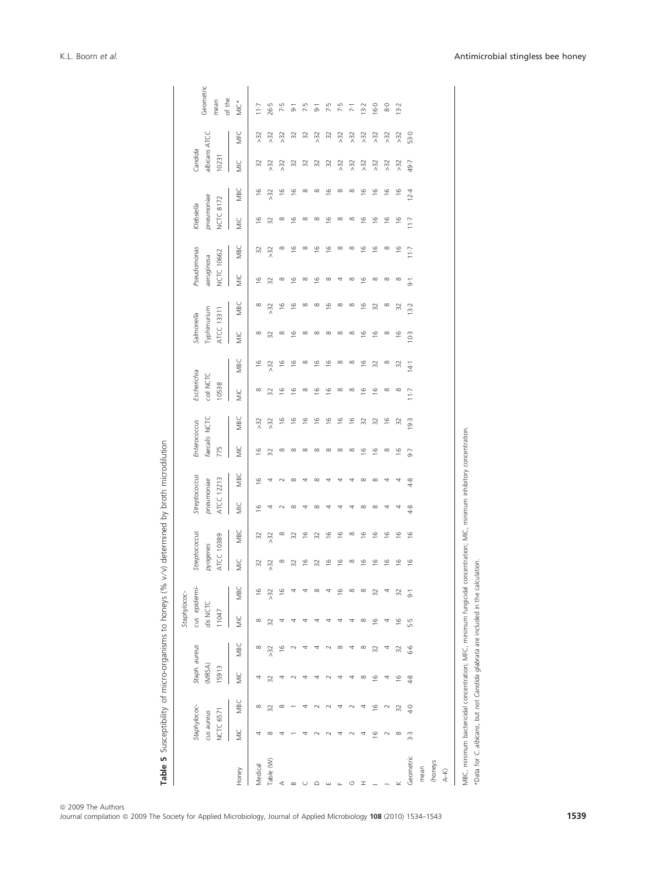|           |                                         |               |                                  |               | Staphylococ-                       |                |                                         |               |                                           |               |                                      |               |                                   |                      |                                         |               |                                                |               |                                              |               |                                   |           |                             |
|-----------|-----------------------------------------|---------------|----------------------------------|---------------|------------------------------------|----------------|-----------------------------------------|---------------|-------------------------------------------|---------------|--------------------------------------|---------------|-----------------------------------|----------------------|-----------------------------------------|---------------|------------------------------------------------|---------------|----------------------------------------------|---------------|-----------------------------------|-----------|-----------------------------|
|           | Staphylococ-<br>NCTC 6571<br>cus aureus |               | Staph. aureus<br>(MRSA)<br>15913 |               | cus epidermi-<br>dis NCTC<br>11047 |                | Streptococcus<br>ATCC 10389<br>pyogenes |               | Streptococcus<br>ATCC 12213<br>pneumoniae |               | faecalis NCTC<br>Enterococcus<br>775 |               | Escherichia<br>coli NCTC<br>10538 |                      | Typhimurium<br>ATCC 13311<br>Salmonella |               | Pseudomonas<br><b>NCTC 10662</b><br>aeruginosa |               | pneumoniae<br><b>NCTC 8172</b><br>Klebsiella |               | albicans ATCC<br>Candida<br>10231 |           | Geometric<br>of the<br>mean |
| Honey     | $\equiv$                                | MBC           | W                                | MBC           | WC                                 | MBC            | WC                                      | MBC           | WC                                        | MBC           | Ξ                                    | MBC           | $\equiv$                          | MBC                  | WC                                      | MBC           | WC                                             | MBC           | WC                                           | MBC           | WIC                               | MFC       | MIC*                        |
| Medical   |                                         | $\infty$      | 4                                | $\infty$      | $\infty$                           | $\frac{6}{2}$  | 32                                      | 32            | $\frac{6}{2}$                             | $\frac{6}{2}$ | $\frac{6}{2}$                        | >32           | $\infty$                          | $\frac{6}{2}$        | $\infty$                                | $\infty$      | $\frac{6}{2}$                                  | 32            | $\frac{6}{2}$                                | $\frac{6}{2}$ | 32                                | >32       | 117                         |
| Table (W) | $\infty$                                | 32            | 32                               | >32           | 32                                 | $\approx$      | $>32$                                   | >32           | 4                                         | 4             | 32                                   | $>32$         | 32                                | $>32$                | 32                                      | >32           | 32                                             | $>32$         | 32                                           | >32           | >32                               | >32       | 26.5                        |
| ⋖         | ₹                                       | $\infty$      |                                  | $\frac{6}{2}$ | 4                                  | 91             | $\infty$                                | $\infty$      | $\sim$                                    | $\sim$        | $\infty$                             | $\frac{6}{2}$ | $\frac{6}{2}$                     | $\frac{6}{1}$        | $\infty$                                | $\frac{6}{1}$ | $\infty$                                       | $\infty$      | $\infty$                                     | $\frac{6}{1}$ | >32                               | >32       | 7.5                         |
| $\infty$  |                                         |               |                                  |               | ₹                                  |                | 32                                      | 32            | $\infty$                                  | $\infty$      | $\infty$                             | $\frac{6}{2}$ | $\frac{6}{2}$                     | $\frac{6}{2}$        | $\frac{6}{2}$                           | $\frac{6}{2}$ | $\frac{6}{2}$                                  | $\frac{6}{2}$ | $\frac{6}{2}$                                | $\frac{6}{2}$ | $\approx$                         | $\approx$ | $\overline{9}$              |
|           |                                         |               |                                  |               | ₹                                  |                | $\frac{6}{2}$                           | $\frac{6}{2}$ | 4                                         | 4             | $\infty$                             | $\frac{6}{2}$ | $\infty$                          | $\infty$             | $\infty$                                | $\infty$      | $\infty$                                       | $\infty$      | $\infty$                                     | $\infty$      | $\Im 2$                           | $\approx$ | 7.5                         |
|           |                                         |               |                                  | 4             | 4                                  | $\infty$       | 32                                      | 32            | $\infty$                                  | $\infty$      | $\infty$                             | $\frac{6}{2}$ | $\frac{6}{2}$                     | $\overset{\circ}{=}$ | $\infty$                                | $\infty$      | $\frac{6}{2}$                                  | $\frac{6}{2}$ | $\infty$                                     | $\infty$      | $\overline{32}$                   | >32       | $\overline{6}$              |
|           |                                         |               |                                  | $\sim$        | 4                                  |                | $\frac{6}{2}$                           | $\frac{6}{2}$ | 4                                         | 4             | $\infty$                             | $\frac{6}{2}$ | $\frac{6}{2}$                     | $\frac{6}{2}$        | $\infty$                                | $\frac{6}{2}$ | $\infty$                                       | $\frac{6}{2}$ | $\frac{6}{2}$                                | $\frac{6}{2}$ | $\Im 2$                           | $\approx$ | 7.5                         |
|           | ₹                                       | 4             |                                  | $\infty$      | 4                                  | $\overline{6}$ | $\frac{6}{2}$                           | $\frac{6}{2}$ |                                           | 4             | $\infty$                             | $\frac{6}{2}$ | $\infty$                          | $\infty$             | $\infty$                                | $\infty$      | 4                                              | $\infty$      | $\infty$                                     | $\infty$      | $>32$                             | >32       | 7.5                         |
| ↺         |                                         |               | 4                                | 4             | 4                                  | $\infty$       | $\infty$                                | $\infty$      | 4                                         | 4             | $\infty$                             | $\frac{6}{2}$ | $\infty$                          | $\infty$             | $\infty$                                | $\infty$      | $\infty$                                       | $\infty$      | $\infty$                                     | $\infty$      | $>32$                             | $>32$     | $\overline{z}$              |
| ᆂ         | 4                                       | 4             | $\infty$                         | $\infty$      | ${}^{\circ}$                       | $\infty$       | $\frac{6}{2}$                           | $\frac{6}{2}$ | $\infty$                                  | ${}^{\circ}$  | $\frac{6}{2}$                        | 32            | $\frac{6}{2}$                     | $\frac{6}{2}$        | $\frac{6}{2}$                           | $\frac{6}{2}$ | $\frac{6}{2}$                                  | $\frac{6}{2}$ | $\frac{6}{2}$                                | $\frac{6}{2}$ | >32                               | >32       | $13-2$                      |
|           | $\frac{6}{2}$                           | $\frac{6}{2}$ | $\overline{9}$                   | 32            | $\overline{9}$                     | 32             | $\frac{6}{2}$                           | $\frac{6}{2}$ | $\infty$                                  | $\infty$      | $\frac{6}{2}$                        | 32            | $\frac{6}{2}$                     | 32                   | $\frac{6}{2}$                           | 32            | $\infty$                                       | $\frac{6}{2}$ | $\frac{6}{2}$                                | $\frac{6}{2}$ | >32                               | >32       | $-16.0$                     |
|           | $\sim$                                  | $\sim$        | 4                                | 4             | 4                                  |                | $\frac{6}{2}$                           | $\frac{6}{2}$ | 4                                         | 4             | $\infty$                             | $\frac{6}{2}$ | $\infty$                          | $\infty$             | $\infty$                                | $\infty$      | $\infty$                                       | $\infty$      | $\frac{6}{2}$                                | $\frac{6}{2}$ | >32                               | >32       | 8·0                         |
|           | $\infty$                                | 32            | $\frac{6}{2}$                    | 32            | $\frac{6}{2}$                      | 32             | $\frac{6}{2}$                           | $\frac{6}{2}$ |                                           | 4             | $\frac{6}{2}$                        | 32            | $\infty$                          | 32                   | $\frac{6}{2}$                           | 32            | $\infty$                                       | $\frac{6}{2}$ | $\frac{6}{2}$                                | $\frac{6}{1}$ | >32                               | >32       | $13-2$                      |
| Geometric | 3.3                                     | $rac{1}{4}$   | 4.8                              | 9.9           | 5.5                                | $\overline{6}$ | $\frac{6}{2}$                           | $\frac{6}{2}$ | $4-8$                                     | 4.8           | $-9.7$                               | 19.3          | 117                               | $14 - 1$             | $10-3$                                  | 13.2          | $\overline{6}$                                 | $11 - 7$      | 11.7                                         | $12-4$        | 49.7                              | 53.0      |                             |
| mean      |                                         |               |                                  |               |                                    |                |                                         |               |                                           |               |                                      |               |                                   |                      |                                         |               |                                                |               |                                              |               |                                   |           |                             |
| (honeys   |                                         |               |                                  |               |                                    |                |                                         |               |                                           |               |                                      |               |                                   |                      |                                         |               |                                                |               |                                              |               |                                   |           |                             |
| $A-K$     |                                         |               |                                  |               |                                    |                |                                         |               |                                           |               |                                      |               |                                   |                      |                                         |               |                                                |               |                                              |               |                                   |           |                             |
|           |                                         |               |                                  |               |                                    |                |                                         |               |                                           |               |                                      |               |                                   |                      |                                         |               |                                                |               |                                              |               |                                   |           |                             |

MBC, minimum bactericidal concentration; MFC, minimum fungicidal concentration; MIC, minimum inhibitory concentration.

\*Data for C. albicans, but not Candida glabrata are included in the calculation.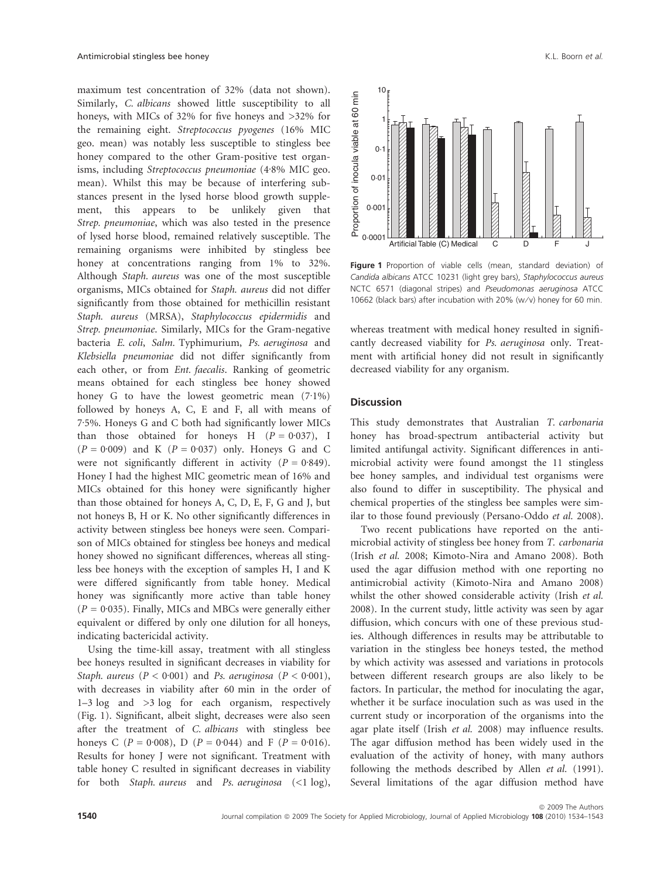maximum test concentration of 32% (data not shown). Similarly, C. albicans showed little susceptibility to all honeys, with MICs of 32% for five honeys and >32% for the remaining eight. Streptococcus pyogenes (16% MIC geo. mean) was notably less susceptible to stingless bee honey compared to the other Gram-positive test organisms, including Streptococcus pneumoniae (4.8% MIC geo. mean). Whilst this may be because of interfering substances present in the lysed horse blood growth supplement, this appears to be unlikely given that Strep. pneumoniae, which was also tested in the presence of lysed horse blood, remained relatively susceptible. The remaining organisms were inhibited by stingless bee honey at concentrations ranging from 1% to 32%. Although Staph. aureus was one of the most susceptible organisms, MICs obtained for Staph. aureus did not differ significantly from those obtained for methicillin resistant Staph. aureus (MRSA), Staphylococcus epidermidis and Strep. pneumoniae. Similarly, MICs for the Gram-negative bacteria E. coli, Salm. Typhimurium, Ps. aeruginosa and Klebsiella pneumoniae did not differ significantly from each other, or from Ent. faecalis. Ranking of geometric means obtained for each stingless bee honey showed honey G to have the lowest geometric mean  $(7.1\%)$ followed by honeys A, C, E and F, all with means of 7.5%. Honeys G and C both had significantly lower MICs than those obtained for honeys H  $(P = 0.037)$ , I  $(P = 0.009)$  and K  $(P = 0.037)$  only. Honeys G and C were not significantly different in activity  $(P = 0.849)$ . Honey I had the highest MIC geometric mean of 16% and MICs obtained for this honey were significantly higher than those obtained for honeys A, C, D, E, F, G and J, but not honeys B, H or K. No other significantly differences in activity between stingless bee honeys were seen. Comparison of MICs obtained for stingless bee honeys and medical honey showed no significant differences, whereas all stingless bee honeys with the exception of samples H, I and K were differed significantly from table honey. Medical honey was significantly more active than table honey  $(P = 0.035)$ . Finally, MICs and MBCs were generally either equivalent or differed by only one dilution for all honeys, indicating bactericidal activity.

Using the time-kill assay, treatment with all stingless bee honeys resulted in significant decreases in viability for Staph. aureus ( $P < 0.001$ ) and Ps. aeruginosa ( $P < 0.001$ ), with decreases in viability after 60 min in the order of 1–3 log and >3 log for each organism, respectively (Fig. 1). Significant, albeit slight, decreases were also seen after the treatment of C. albicans with stingless bee honeys C ( $P = 0.008$ ), D ( $P = 0.044$ ) and F ( $P = 0.016$ ). Results for honey J were not significant. Treatment with table honey C resulted in significant decreases in viability for both Staph. aureus and Ps. aeruginosa (<1 log),



Figure 1 Proportion of viable cells (mean, standard deviation) of Candida albicans ATCC 10231 (light grey bars), Staphylococcus aureus NCTC 6571 (diagonal stripes) and Pseudomonas aeruginosa ATCC 10662 (black bars) after incubation with 20% (w/v) honey for 60 min.

whereas treatment with medical honey resulted in significantly decreased viability for Ps. aeruginosa only. Treatment with artificial honey did not result in significantly decreased viability for any organism.

#### **Discussion**

This study demonstrates that Australian T. carbonaria honey has broad-spectrum antibacterial activity but limited antifungal activity. Significant differences in antimicrobial activity were found amongst the 11 stingless bee honey samples, and individual test organisms were also found to differ in susceptibility. The physical and chemical properties of the stingless bee samples were similar to those found previously (Persano-Oddo et al. 2008).

Two recent publications have reported on the antimicrobial activity of stingless bee honey from T. carbonaria (Irish et al. 2008; Kimoto-Nira and Amano 2008). Both used the agar diffusion method with one reporting no antimicrobial activity (Kimoto-Nira and Amano 2008) whilst the other showed considerable activity (Irish et al. 2008). In the current study, little activity was seen by agar diffusion, which concurs with one of these previous studies. Although differences in results may be attributable to variation in the stingless bee honeys tested, the method by which activity was assessed and variations in protocols between different research groups are also likely to be factors. In particular, the method for inoculating the agar, whether it be surface inoculation such as was used in the current study or incorporation of the organisms into the agar plate itself (Irish et al. 2008) may influence results. The agar diffusion method has been widely used in the evaluation of the activity of honey, with many authors following the methods described by Allen *et al.* (1991). Several limitations of the agar diffusion method have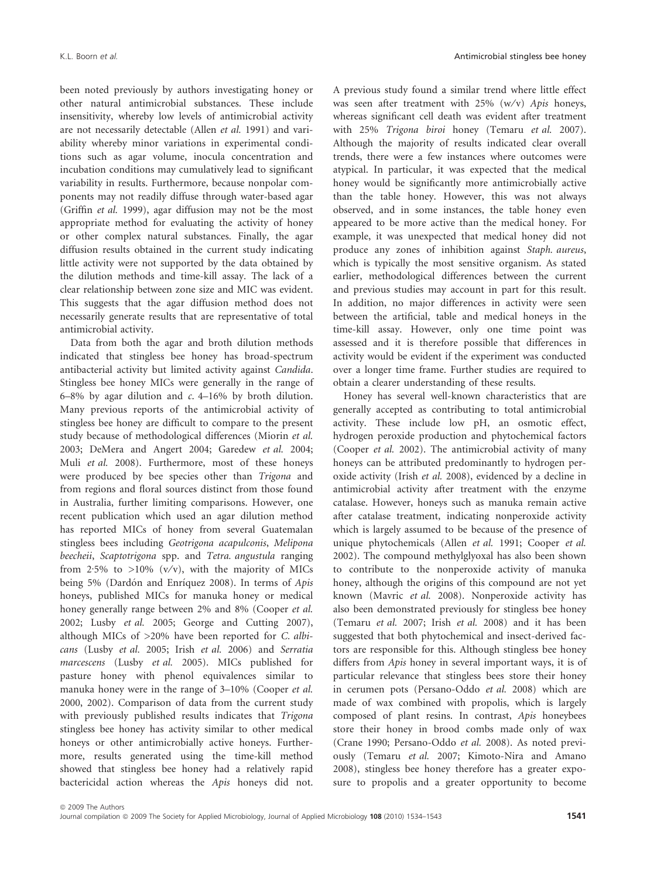been noted previously by authors investigating honey or other natural antimicrobial substances. These include insensitivity, whereby low levels of antimicrobial activity are not necessarily detectable (Allen et al. 1991) and variability whereby minor variations in experimental conditions such as agar volume, inocula concentration and incubation conditions may cumulatively lead to significant variability in results. Furthermore, because nonpolar components may not readily diffuse through water-based agar (Griffin et al. 1999), agar diffusion may not be the most appropriate method for evaluating the activity of honey or other complex natural substances. Finally, the agar diffusion results obtained in the current study indicating little activity were not supported by the data obtained by the dilution methods and time-kill assay. The lack of a clear relationship between zone size and MIC was evident. This suggests that the agar diffusion method does not necessarily generate results that are representative of total antimicrobial activity.

Data from both the agar and broth dilution methods indicated that stingless bee honey has broad-spectrum antibacterial activity but limited activity against Candida. Stingless bee honey MICs were generally in the range of 6–8% by agar dilution and c. 4–16% by broth dilution. Many previous reports of the antimicrobial activity of stingless bee honey are difficult to compare to the present study because of methodological differences (Miorin et al. 2003; DeMera and Angert 2004; Garedew et al. 2004; Muli et al. 2008). Furthermore, most of these honeys were produced by bee species other than Trigona and from regions and floral sources distinct from those found in Australia, further limiting comparisons. However, one recent publication which used an agar dilution method has reported MICs of honey from several Guatemalan stingless bees including Geotrigona acapulconis, Melipona beecheii, Scaptotrigona spp. and Tetra. angustula ranging from 2.5% to >10% (v/v), with the majority of MICs being 5% (Dardón and Enríquez 2008). In terms of Apis honeys, published MICs for manuka honey or medical honey generally range between 2% and 8% (Cooper et al. 2002; Lusby et al. 2005; George and Cutting 2007), although MICs of >20% have been reported for C. albicans (Lusby et al. 2005; Irish et al. 2006) and Serratia marcescens (Lusby et al. 2005). MICs published for pasture honey with phenol equivalences similar to manuka honey were in the range of 3–10% (Cooper et al. 2000, 2002). Comparison of data from the current study with previously published results indicates that Trigona stingless bee honey has activity similar to other medical honeys or other antimicrobially active honeys. Furthermore, results generated using the time-kill method showed that stingless bee honey had a relatively rapid bactericidal action whereas the Apis honeys did not.

A previous study found a similar trend where little effect was seen after treatment with  $25\%$  (w/v) Apis honeys, whereas significant cell death was evident after treatment with 25% Trigona biroi honey (Temaru et al. 2007). Although the majority of results indicated clear overall trends, there were a few instances where outcomes were atypical. In particular, it was expected that the medical honey would be significantly more antimicrobially active than the table honey. However, this was not always observed, and in some instances, the table honey even appeared to be more active than the medical honey. For example, it was unexpected that medical honey did not produce any zones of inhibition against Staph. aureus, which is typically the most sensitive organism. As stated earlier, methodological differences between the current and previous studies may account in part for this result. In addition, no major differences in activity were seen between the artificial, table and medical honeys in the time-kill assay. However, only one time point was assessed and it is therefore possible that differences in activity would be evident if the experiment was conducted over a longer time frame. Further studies are required to obtain a clearer understanding of these results.

Honey has several well-known characteristics that are generally accepted as contributing to total antimicrobial activity. These include low pH, an osmotic effect, hydrogen peroxide production and phytochemical factors (Cooper et al. 2002). The antimicrobial activity of many honeys can be attributed predominantly to hydrogen peroxide activity (Irish et al. 2008), evidenced by a decline in antimicrobial activity after treatment with the enzyme catalase. However, honeys such as manuka remain active after catalase treatment, indicating nonperoxide activity which is largely assumed to be because of the presence of unique phytochemicals (Allen et al. 1991; Cooper et al. 2002). The compound methylglyoxal has also been shown to contribute to the nonperoxide activity of manuka honey, although the origins of this compound are not yet known (Mavric et al. 2008). Nonperoxide activity has also been demonstrated previously for stingless bee honey (Temaru et al. 2007; Irish et al. 2008) and it has been suggested that both phytochemical and insect-derived factors are responsible for this. Although stingless bee honey differs from Apis honey in several important ways, it is of particular relevance that stingless bees store their honey in cerumen pots (Persano-Oddo et al. 2008) which are made of wax combined with propolis, which is largely composed of plant resins. In contrast, Apis honeybees store their honey in brood combs made only of wax (Crane 1990; Persano-Oddo et al. 2008). As noted previously (Temaru et al. 2007; Kimoto-Nira and Amano 2008), stingless bee honey therefore has a greater exposure to propolis and a greater opportunity to become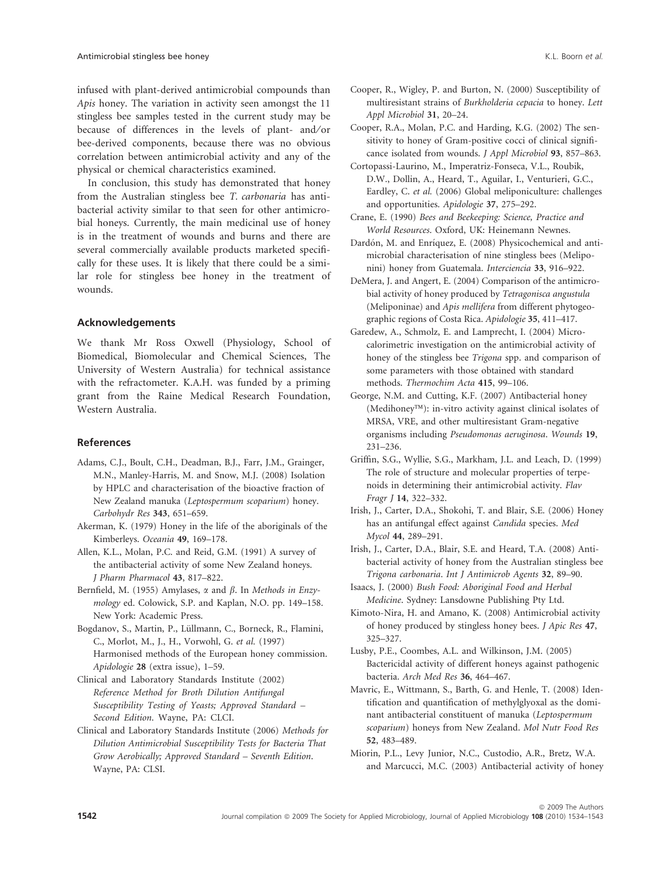infused with plant-derived antimicrobial compounds than Apis honey. The variation in activity seen amongst the 11 stingless bee samples tested in the current study may be because of differences in the levels of plant- and/or bee-derived components, because there was no obvious correlation between antimicrobial activity and any of the physical or chemical characteristics examined.

In conclusion, this study has demonstrated that honey from the Australian stingless bee T. carbonaria has antibacterial activity similar to that seen for other antimicrobial honeys. Currently, the main medicinal use of honey is in the treatment of wounds and burns and there are several commercially available products marketed specifically for these uses. It is likely that there could be a similar role for stingless bee honey in the treatment of wounds.

# Acknowledgements

We thank Mr Ross Oxwell (Physiology, School of Biomedical, Biomolecular and Chemical Sciences, The University of Western Australia) for technical assistance with the refractometer. K.A.H. was funded by a priming grant from the Raine Medical Research Foundation, Western Australia.

# References

- Adams, C.J., Boult, C.H., Deadman, B.J., Farr, J.M., Grainger, M.N., Manley-Harris, M. and Snow, M.J. (2008) Isolation by HPLC and characterisation of the bioactive fraction of New Zealand manuka (Leptospermum scoparium) honey. Carbohydr Res 343, 651–659.
- Akerman, K. (1979) Honey in the life of the aboriginals of the Kimberleys. Oceania 49, 169–178.
- Allen, K.L., Molan, P.C. and Reid, G.M. (1991) A survey of the antibacterial activity of some New Zealand honeys. J Pharm Pharmacol 43, 817–822.
- Bernfield, M. (1955) Amylases,  $\alpha$  and  $\beta$ . In Methods in Enzymology ed. Colowick, S.P. and Kaplan, N.O. pp. 149–158. New York: Academic Press.
- Bogdanov, S., Martin, P., Lüllmann, C., Borneck, R., Flamini, C., Morlot, M., J., H., Vorwohl, G. et al. (1997) Harmonised methods of the European honey commission. Apidologie 28 (extra issue), 1–59.
- Clinical and Laboratory Standards Institute (2002) Reference Method for Broth Dilution Antifungal Susceptibility Testing of Yeasts; Approved Standard – Second Edition. Wayne, PA: CLCI.
- Clinical and Laboratory Standards Institute (2006) Methods for Dilution Antimicrobial Susceptibility Tests for Bacteria That Grow Aerobically; Approved Standard – Seventh Edition. Wayne, PA: CLSI.
- Cooper, R., Wigley, P. and Burton, N. (2000) Susceptibility of multiresistant strains of Burkholderia cepacia to honey. Lett Appl Microbiol 31, 20–24.
- Cooper, R.A., Molan, P.C. and Harding, K.G. (2002) The sensitivity to honey of Gram-positive cocci of clinical significance isolated from wounds. J Appl Microbiol 93, 857–863.
- Cortopassi-Laurino, M., Imperatriz-Fonseca, V.L., Roubik, D.W., Dollin, A., Heard, T., Aguilar, I., Venturieri, G.C., Eardley, C. et al. (2006) Global meliponiculture: challenges and opportunities. Apidologie 37, 275–292.
- Crane, E. (1990) Bees and Beekeeping: Science, Practice and World Resources. Oxford, UK: Heinemann Newnes.
- Dardón, M. and Enríquez, E. (2008) Physicochemical and antimicrobial characterisation of nine stingless bees (Meliponini) honey from Guatemala. Interciencia 33, 916–922.
- DeMera, J. and Angert, E. (2004) Comparison of the antimicrobial activity of honey produced by Tetragonisca angustula (Meliponinae) and Apis mellifera from different phytogeographic regions of Costa Rica. Apidologie 35, 411–417.
- Garedew, A., Schmolz, E. and Lamprecht, I. (2004) Microcalorimetric investigation on the antimicrobial activity of honey of the stingless bee Trigona spp. and comparison of some parameters with those obtained with standard methods. Thermochim Acta 415, 99–106.
- George, N.M. and Cutting, K.F. (2007) Antibacterial honey  $(Medihoney<sup>TM</sup>)$ : in-vitro activity against clinical isolates of MRSA, VRE, and other multiresistant Gram-negative organisms including Pseudomonas aeruginosa. Wounds 19, 231–236.
- Griffin, S.G., Wyllie, S.G., Markham, J.L. and Leach, D. (1999) The role of structure and molecular properties of terpenoids in determining their antimicrobial activity. Flav Fragr J 14, 322–332.
- Irish, J., Carter, D.A., Shokohi, T. and Blair, S.E. (2006) Honey has an antifungal effect against Candida species. Med Mycol 44, 289–291.
- Irish, J., Carter, D.A., Blair, S.E. and Heard, T.A. (2008) Antibacterial activity of honey from the Australian stingless bee Trigona carbonaria. Int J Antimicrob Agents 32, 89–90.
- Isaacs, J. (2000) Bush Food: Aboriginal Food and Herbal Medicine. Sydney: Lansdowne Publishing Pty Ltd.
- Kimoto-Nira, H. and Amano, K. (2008) Antimicrobial activity of honey produced by stingless honey bees. J Apic Res 47, 325–327.
- Lusby, P.E., Coombes, A.L. and Wilkinson, J.M. (2005) Bactericidal activity of different honeys against pathogenic bacteria. Arch Med Res 36, 464–467.
- Mavric, E., Wittmann, S., Barth, G. and Henle, T. (2008) Identification and quantification of methylglyoxal as the dominant antibacterial constituent of manuka (Leptospermum scoparium) honeys from New Zealand. Mol Nutr Food Res 52, 483–489.
- Miorin, P.L., Levy Junior, N.C., Custodio, A.R., Bretz, W.A. and Marcucci, M.C. (2003) Antibacterial activity of honey